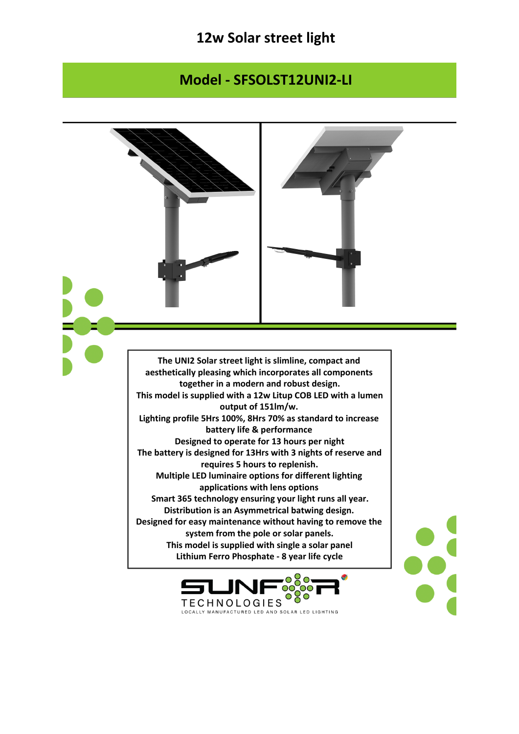## **12w Solar street light**

## **Model - SFSOLST12UNI2-LI**

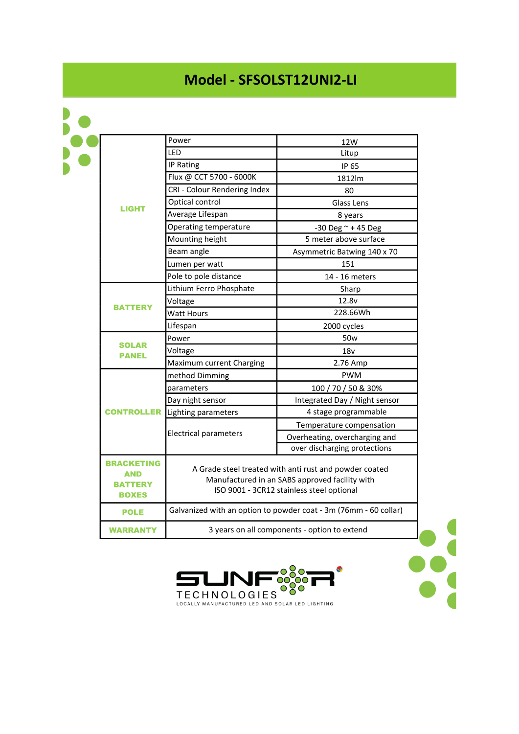## **Model - SFSOLST12UNI2-LI**

| <b>LIGHT</b>                                               | Power                                                                                                                                                 | 12W                           |
|------------------------------------------------------------|-------------------------------------------------------------------------------------------------------------------------------------------------------|-------------------------------|
|                                                            | LED                                                                                                                                                   | Litup                         |
|                                                            | IP Rating                                                                                                                                             | IP 65                         |
|                                                            | Flux @ CCT 5700 - 6000K                                                                                                                               | 1812lm                        |
|                                                            | CRI - Colour Rendering Index                                                                                                                          | 80                            |
|                                                            | Optical control                                                                                                                                       | Glass Lens                    |
|                                                            | Average Lifespan                                                                                                                                      | 8 years                       |
|                                                            | Operating temperature                                                                                                                                 | -30 Deg $\sim$ +45 Deg        |
|                                                            | Mounting height                                                                                                                                       | 5 meter above surface         |
|                                                            | Beam angle                                                                                                                                            | Asymmetric Batwing 140 x 70   |
|                                                            | Lumen per watt                                                                                                                                        | 151                           |
|                                                            | Pole to pole distance                                                                                                                                 | 14 - 16 meters                |
| <b>BATTERY</b>                                             | Lithium Ferro Phosphate                                                                                                                               | Sharp                         |
|                                                            | Voltage                                                                                                                                               | 12.8v                         |
|                                                            | <b>Watt Hours</b>                                                                                                                                     | 228.66Wh                      |
|                                                            | Lifespan                                                                                                                                              | 2000 cycles                   |
| <b>SOLAR</b><br><b>PANEL</b>                               | Power                                                                                                                                                 | 50 <sub>w</sub>               |
|                                                            | Voltage                                                                                                                                               | 18 <sub>V</sub>               |
|                                                            | Maximum current Charging                                                                                                                              | 2.76 Amp                      |
| <b>CONTROLLER</b>                                          | method Dimming                                                                                                                                        | <b>PWM</b>                    |
|                                                            | parameters                                                                                                                                            | 100 / 70 / 50 & 30%           |
|                                                            | Day night sensor                                                                                                                                      | Integrated Day / Night sensor |
|                                                            | Lighting parameters                                                                                                                                   | 4 stage programmable          |
|                                                            | <b>Electrical parameters</b>                                                                                                                          | Temperature compensation      |
|                                                            |                                                                                                                                                       | Overheating, overcharging and |
|                                                            |                                                                                                                                                       | over discharging protections  |
| <b>BRACKETING</b><br>AND<br><b>BATTERY</b><br><b>BOXES</b> | A Grade steel treated with anti rust and powder coated<br>Manufactured in an SABS approved facility with<br>ISO 9001 - 3CR12 stainless steel optional |                               |
| <b>POLE</b>                                                | Galvanized with an option to powder coat - 3m (76mm - 60 collar)                                                                                      |                               |
| <b>WARRANTY</b>                                            | 3 years on all components - option to extend                                                                                                          |                               |